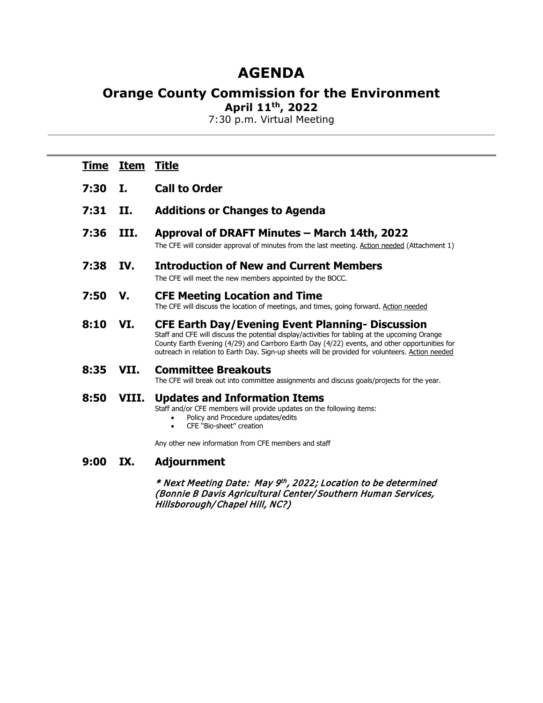# **AGENDA**

## **Orange County Commission for the Environment**

**April 11th, 2022**

7:30 p.m. Virtual Meeting

| <u>Time</u> | <b>Item</b> | <u>Title</u>                                                                                                                                                                                                                                                                                                                                                   |
|-------------|-------------|----------------------------------------------------------------------------------------------------------------------------------------------------------------------------------------------------------------------------------------------------------------------------------------------------------------------------------------------------------------|
| 7:30        | I.          | <b>Call to Order</b>                                                                                                                                                                                                                                                                                                                                           |
| 7:31        | II.         | <b>Additions or Changes to Agenda</b>                                                                                                                                                                                                                                                                                                                          |
| 7:36        | III.        | Approval of DRAFT Minutes - March 14th, 2022<br>The CFE will consider approval of minutes from the last meeting. Action needed (Attachment 1)                                                                                                                                                                                                                  |
| 7:38        | IV.         | <b>Introduction of New and Current Members</b><br>The CFE will meet the new members appointed by the BOCC.                                                                                                                                                                                                                                                     |
| 7:50        | V.          | <b>CFE Meeting Location and Time</b><br>The CFE will discuss the location of meetings, and times, going forward. Action needed                                                                                                                                                                                                                                 |
| 8:10        | VI.         | <b>CFE Earth Day/Evening Event Planning- Discussion</b><br>Staff and CFE will discuss the potential display/activities for tabling at the upcoming Orange<br>County Earth Evening (4/29) and Carrboro Earth Day (4/22) events, and other opportunities for<br>outreach in relation to Earth Day. Sign-up sheets will be provided for volunteers. Action needed |
| 8:35        | VII.        | <b>Committee Breakouts</b><br>The CFE will break out into committee assignments and discuss goals/projects for the year.                                                                                                                                                                                                                                       |
| 8:50        | VIII.       | <b>Updates and Information Items</b><br>Staff and/or CFE members will provide updates on the following items:<br>Policy and Procedure updates/edits<br>CFE "Bio-sheet" creation<br>$\bullet$                                                                                                                                                                   |
|             |             | Any other new information from CFE members and staff                                                                                                                                                                                                                                                                                                           |
| 9:00        | IX.         | <b>Adjournment</b>                                                                                                                                                                                                                                                                                                                                             |
|             |             | * Next Meeting Date: May 9th, 2022; Location to be determined                                                                                                                                                                                                                                                                                                  |

(Bonnie B Davis Agricultural Center/Southern Human Services, Hillsborough/Chapel Hill, NC?)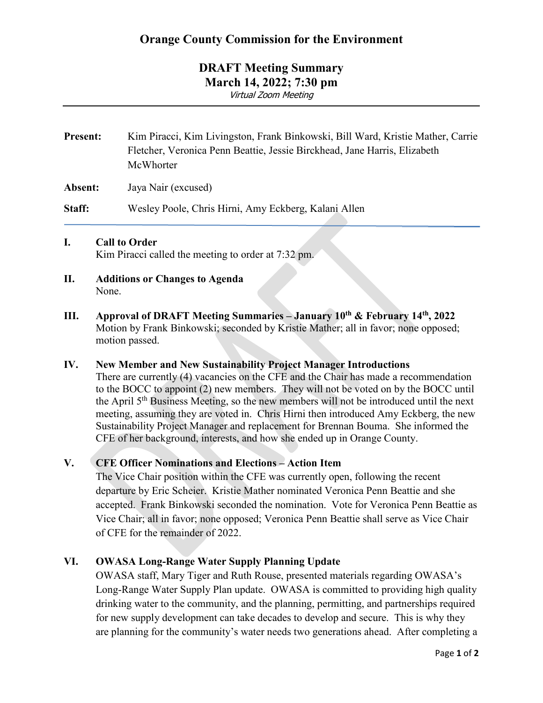### **DRAFT Meeting Summary March 14, 2022; 7:30 pm** Virtual Zoom Meeting

**Present:** Kim Piracci, Kim Livingston, Frank Binkowski, Bill Ward, Kristie Mather, Carrie Fletcher, Veronica Penn Beattie, Jessie Birckhead, Jane Harris, Elizabeth McWhorter

**Absent:** Jaya Nair (excused)

**Staff:** Wesley Poole, Chris Hirni, Amy Eckberg, Kalani Allen

#### **I. Call to Order**

Kim Piracci called the meeting to order at 7:32 pm.

- **II. Additions or Changes to Agenda** None.
- **III. Approval of DRAFT Meeting Summaries – January 10th & February 14th, 2022** Motion by Frank Binkowski; seconded by Kristie Mather; all in favor; none opposed; motion passed.

#### **IV. New Member and New Sustainability Project Manager Introductions**

There are currently (4) vacancies on the CFE and the Chair has made a recommendation to the BOCC to appoint (2) new members. They will not be voted on by the BOCC until the April 5th Business Meeting, so the new members will not be introduced until the next meeting, assuming they are voted in. Chris Hirni then introduced Amy Eckberg, the new Sustainability Project Manager and replacement for Brennan Bouma. She informed the CFE of her background, interests, and how she ended up in Orange County.

#### **V. CFE Officer Nominations and Elections – Action Item**

The Vice Chair position within the CFE was currently open, following the recent departure by Eric Scheier. Kristie Mather nominated Veronica Penn Beattie and she accepted. Frank Binkowski seconded the nomination. Vote for Veronica Penn Beattie as Vice Chair; all in favor; none opposed; Veronica Penn Beattie shall serve as Vice Chair of CFE for the remainder of 2022.

#### **VI. OWASA Long-Range Water Supply Planning Update**

OWASA staff, Mary Tiger and Ruth Rouse, presented materials regarding OWASA's Long-Range Water Supply Plan update. OWASA is committed to providing high quality drinking water to the community, and the planning, permitting, and partnerships required for new supply development can take decades to develop and secure. This is why they are planning for the community's water needs two generations ahead. After completing a